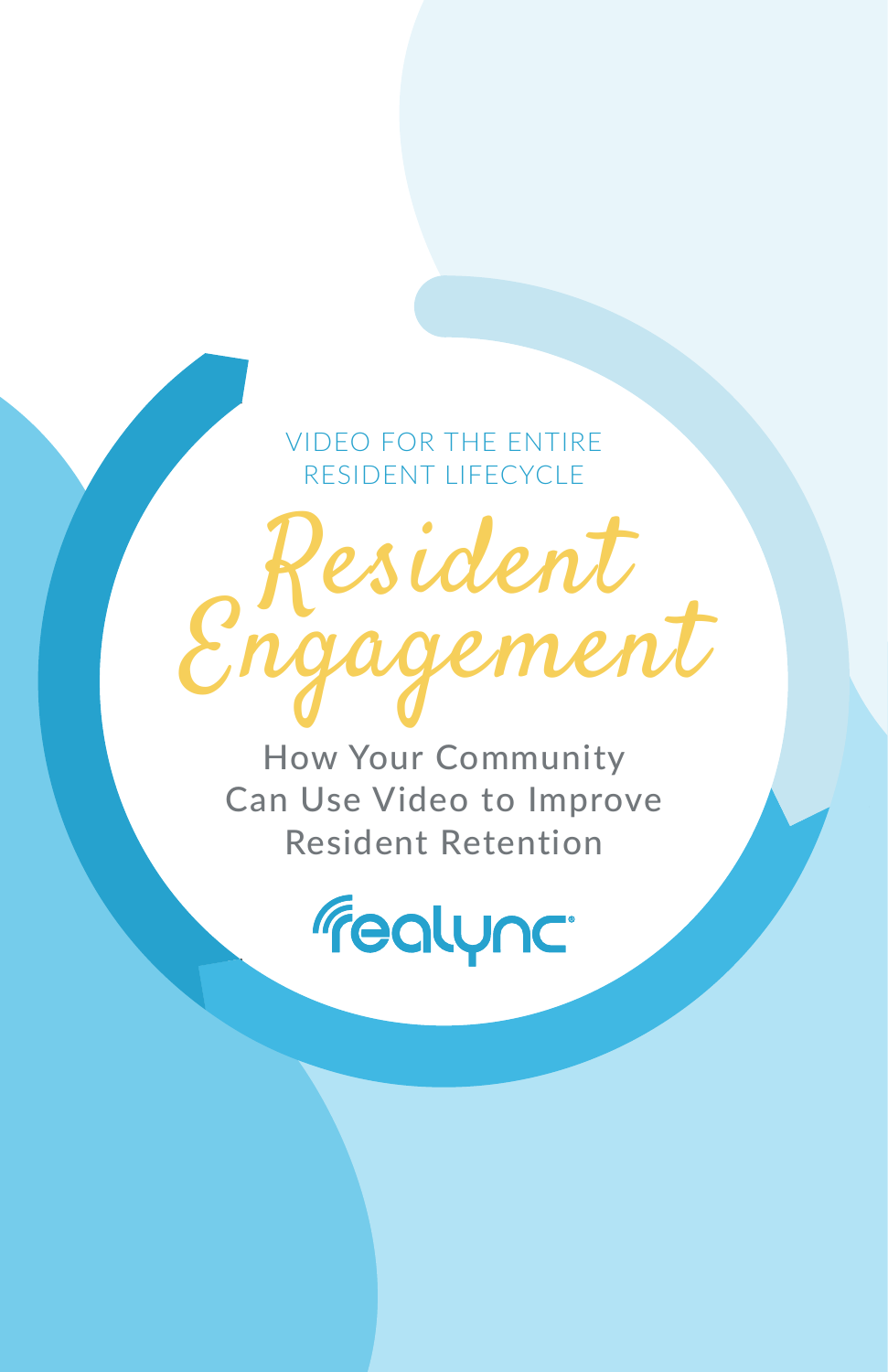VIDEO FOR THE ENTIRE RESIDENT LIFECYCLE

# Resident Engagement

How Your Community Can Use Video to Improve Resident Retention

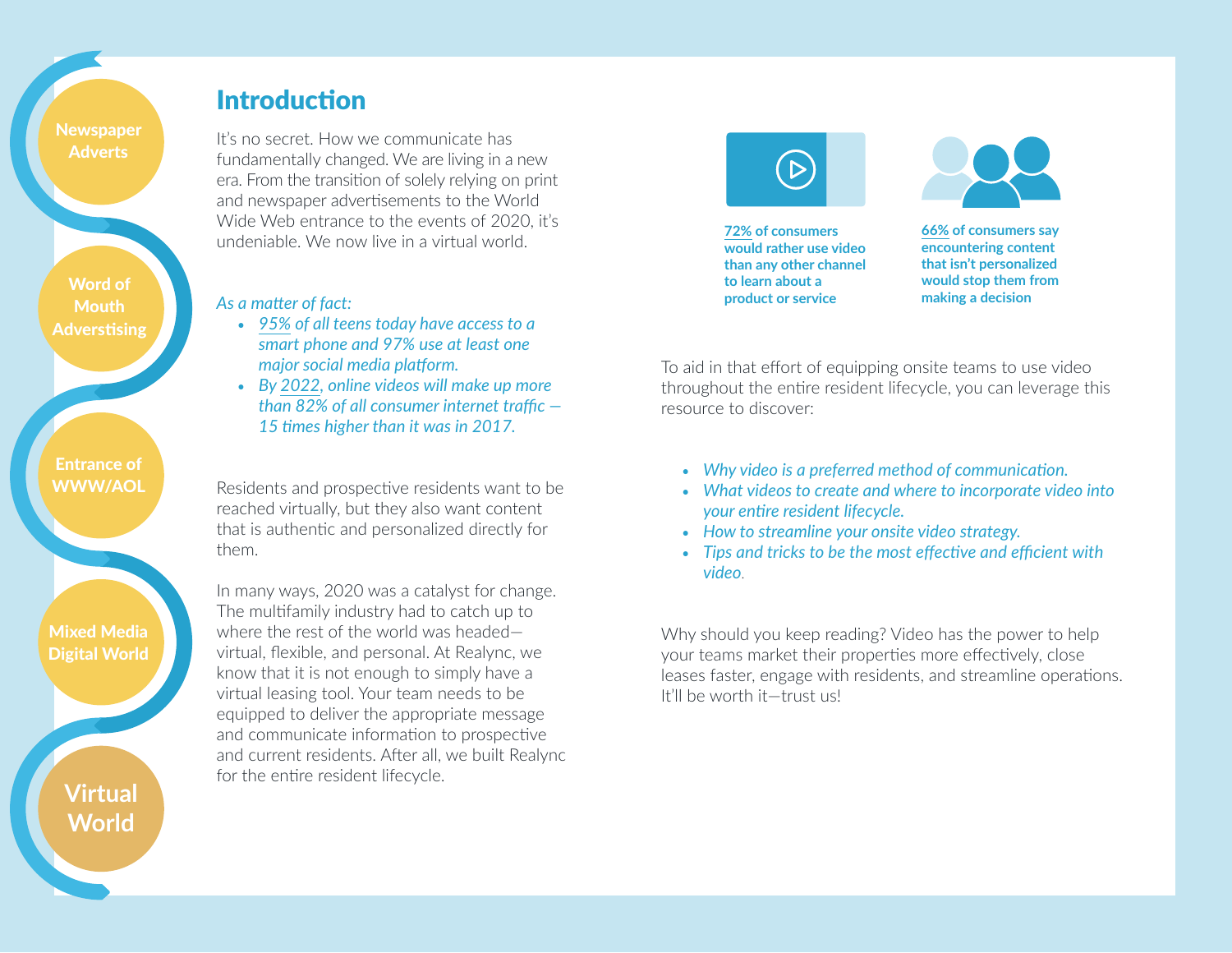# Introduction

**Adverts** 

Word of **Mouth** Adverstising

Entrance of WWW/AOL

Mixed Media Digital World

> **Virtual World**

It's no secret. How we communicate has fundamentally changed. We are living in a new era. From the transition of solely relying on print and newspaper advertisements to the World Wide Web entrance to the events of 2020, it's undeniable. We now live in a virtual world.

#### *As a matter of fact:*

- *[95%](https://www.pewsocialtrends.org/essay/on-the-cusp-of-adulthood-and-facing-an-uncertain-future-what-we-know-about-gen-z-so-far/) of all teens today have access to a smart phone and 97% use at least one major social media platform.*
- *By [2022](https://www.cisco.com/c/en/us/solutions/collateral/executive-perspectives/annual-internet-report/white-paper-c11-741490.html), online videos will make up more than 82% of all consumer internet traffic — 15 times higher than it was in 2017.*

Residents and prospective residents want to be reached virtually, but they also want content that is authentic and personalized directly for them.

In many ways, 2020 was a catalyst for change. The multifamily industry had to catch up to where the rest of the world was headed virtual, flexible, and personal. At Realync, we know that it is not enough to simply have a virtual leasing tool. Your team needs to be equipped to deliver the appropriate message and communicate information to prospective and current residents. After all, we built Realync for the entire resident lifecycle.



**[72% o](https://today.yougov.com/topics/resources/articles-reports/2019/08/06/72-consumers-prefer-videos-learn-about-products-or)f consumers would rather use video than any other channel to learn about a product or service**



**[66%](https://www.business2community.com/strategy/consumer-preferences-for-personalization-02354310#:~:text=%E2%80%93%20Smart%20Insights,them%20from%20making%20a%20purchase.) of consumers say encountering content that isn't personalized would stop them from making a decision**

To aid in that effort of equipping onsite teams to use video throughout the entire resident lifecycle, you can leverage this resource to discover:

- *Why video is a preferred method of communication.*
- *What videos to create and where to incorporate video into your entire resident lifecycle.*
- *How to streamline your onsite video strategy.*
- *Tips and tricks to be the most effective and efficient with video*.

Why should you keep reading? Video has the power to help your teams market their properties more effectively, close leases faster, engage with residents, and streamline operations. It'll be worth it—trust us!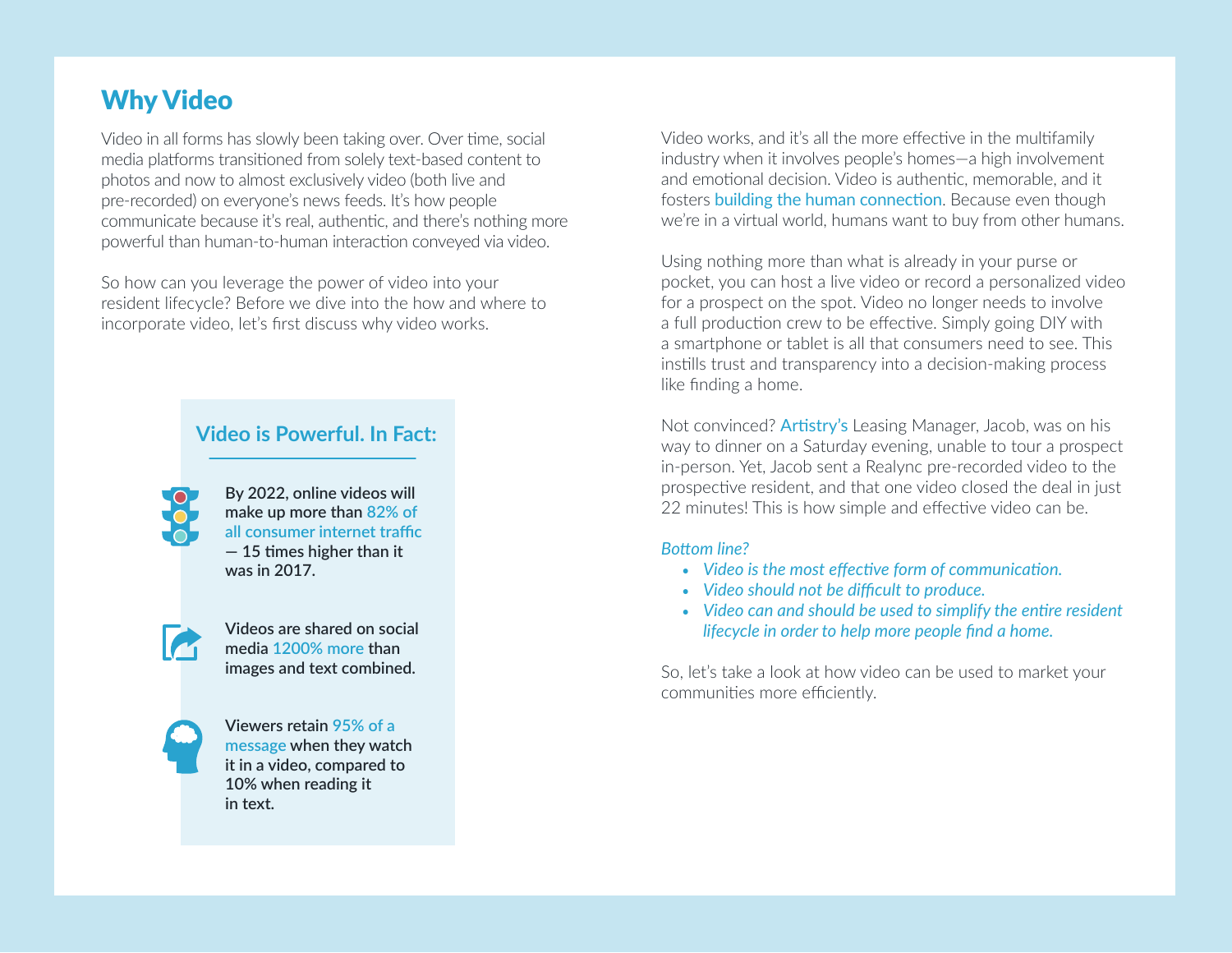# Why Video

Video in all forms has slowly been taking over. Over time, social media platforms transitioned from solely text-based content to photos and now to almost exclusively video (both live and pre-recorded) on everyone's news feeds. It's how people communicate because it's real, authentic, and there's nothing more powerful than human-to-human interaction conveyed via video.

So how can you leverage the power of video into your resident lifecycle? Before we dive into the how and where to incorporate video, let's first discuss why video works.

## **Video is Powerful. In Fact:**



**By 2022, online videos will make up more tha[n 82% of](https://www.cisco.com/c/en/us/solutions/collateral/service-provider/visual-networking-index-vni/white-paper-c11-741490.html)  [all consumer internet traffic](https://www.cisco.com/c/en/us/solutions/collateral/service-provider/visual-networking-index-vni/white-paper-c11-741490.html) — 15 times higher than it was in 2017.**



**Videos are shared on social media [1200% more](https://biteable.com/blog/video-marketing-statistics/) than images and text combined.**



**Viewers retain [95% of a](https://zmbmedia.com/2020/01/03/video-marketing-trends-for-2020/#:~:text=Viewers%20retain%2095%25%20of%20a,when%20reading%20it%20in%20text.)  [message](https://zmbmedia.com/2020/01/03/video-marketing-trends-for-2020/#:~:text=Viewers%20retain%2095%25%20of%20a,when%20reading%20it%20in%20text.) when they watch it in a video, compared to 10% when reading it in text.**

Video works, and it's all the more effective in the multifamily industry when it involves people's homes—a high involvement and emotional decision. Video is authentic, memorable, and it fosters [building the human connection](https://www.forbes.com/sites/forbesrealestatecouncil/2020/11/09/three-tips-to-keep-human-connection-present-in-a-virtual-real-estate-world/?sh=3a016e304e81). Because even though we're in a virtual world, humans want to buy from other humans.

Using nothing more than what is already in your purse or pocket, you can host a live video or record a personalized video for a prospect on the spot. Video no longer needs to involve a full production crew to be effective. Simply going DIY with a smartphone or tablet is all that consumers need to see. This instills trust and transparency into a decision-making process like finding a home.

Not convinced? [Artistry's](https://www.realync.com/artistry/) Leasing Manager, Jacob, was on his way to dinner on a Saturday evening, unable to tour a prospect in-person. Yet, Jacob sent a Realync pre-recorded video to the prospective resident, and that one video closed the deal in just 22 minutes! This is how simple and effective video can be.

#### *Bottom line?*

- *Video is the most effective form of communication.*
- *Video should not be difficult to produce.*
- *Video can and should be used to simplify the entire resident lifecycle in order to help more people find a home.*

So, let's take a look at how video can be used to market your communities more efficiently.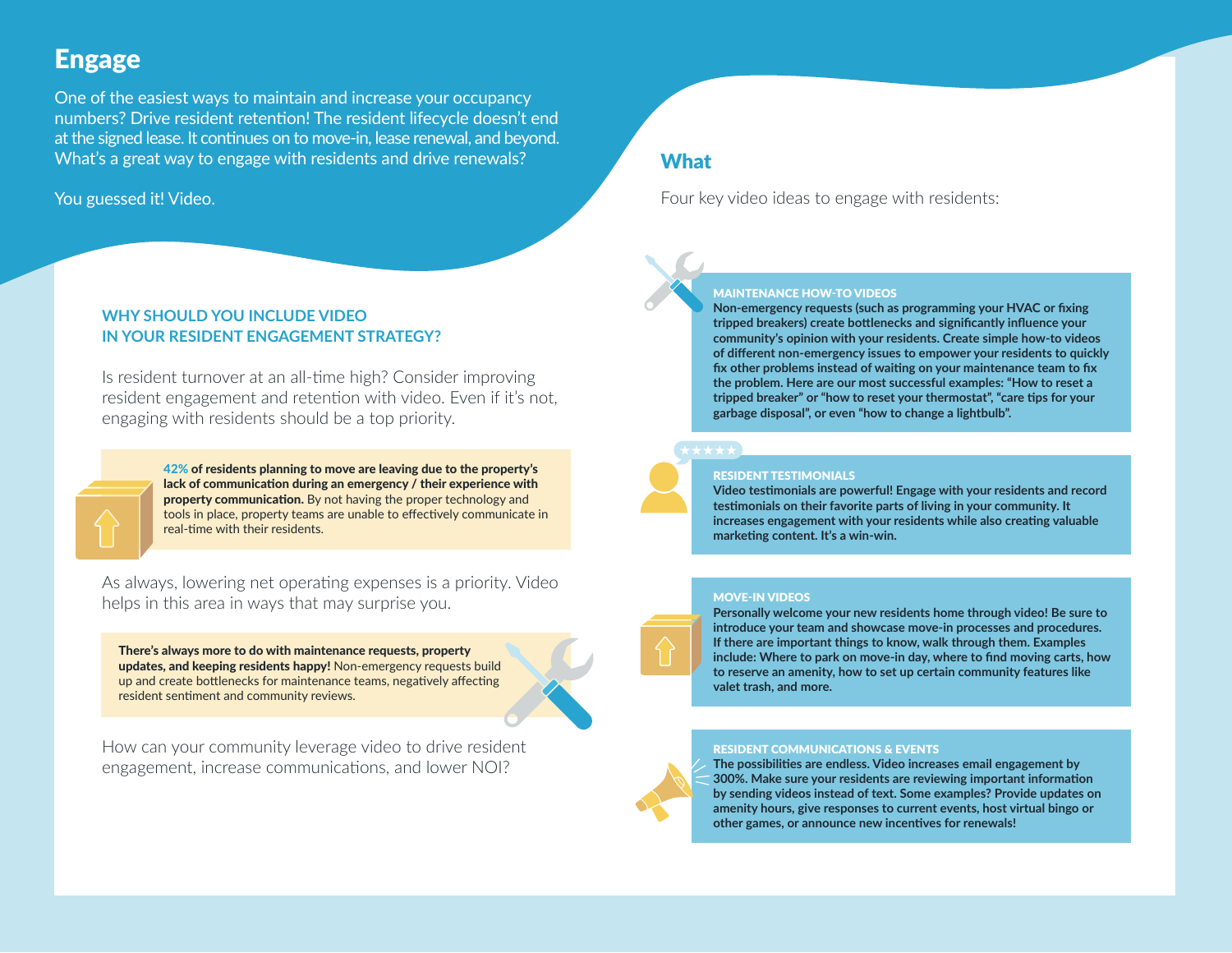# Engage

One of the easiest ways to maintain and increase your occupancy numbers? Drive resident retention! The resident lifecycle doesn't end at the signed lease. It continues on to move-in, lease renewal, and beyond. What's a great way to engage with residents and drive renewals?

#### You guessed it! Video.

#### **WHY SHOULD YOU INCLUDE VIDEO IN YOUR RESIDENT ENGAGEMENT STRATEGY?**

Is resident turnover at an all-time high? Consider improving resident engagement and retention with video. Even if it's not, engaging with residents should be a top priority.



[42%](https://gracehill.com/wp-content/uploads/2020/10/20200521_Resident_Report_V7.pdf) of residents planning to move are leaving due to the property's lack of communication during an emergency / their experience with property communication. By not having the proper technology and tools in place, property teams are unable to effectively communicate in real-time with their residents.

As always, lowering net operating expenses is a priority. Video helps in this area in ways that may surprise you.

There's always more to do with maintenance requests, property updates, and keeping residents happy! Non-emergency requests build up and create bottlenecks for maintenance teams, negatively affecting resident sentiment and community reviews.

How can your community leverage video to drive resident engagement, increase communications, and lower NOI?

## **What**

Four key video ideas to engage with residents:



#### MAINTENANCE HOW-TO VIDEOS

**Non-emergency requests (such as programming your HVAC or fixing tripped breakers) create bottlenecks and significantly influence your community's opinion with your residents. Create simple how-to videos of different non-emergency issues to empower your residents to quickly fix other problems instead of waiting on your maintenance team to fix the problem. Here are our most successful examples: "How to reset a tripped breaker" or "how to reset your thermostat", "care tips for your garbage disposal", or even "how to change a lightbulb".** 



#### RESIDENT TESTIMONIALS

**Video testimonials are powerful! Engage with your residents and record testimonials on their favorite parts of living in your community. It increases engagement with your residents while also creating valuable marketing content. It's a win-win.** 

#### MOVE-IN VIDEOS

**Personally welcome your new residents home through video! Be sure to introduce your team and showcase move-in processes and procedures. If there are important things to know, walk through them. Examples include: Where to park on move-in day, where to find moving carts, how to reserve an amenity, how to set up certain community features like valet trash, and more.** 

#### RESIDENT COMMUNICATIONS & EVENTS

**The possibilities are endless. Video increases email [engagement by](https://www.videobrewery.com/blog/18-video-marketing-statistics/)  [300%.](https://www.videobrewery.com/blog/18-video-marketing-statistics/) Make sure your residents are reviewing important information by sending videos instead of text. Some examples? Provide updates on amenity hours, give responses to current events, host virtual bingo or other games, or announce new incentives for renewals!**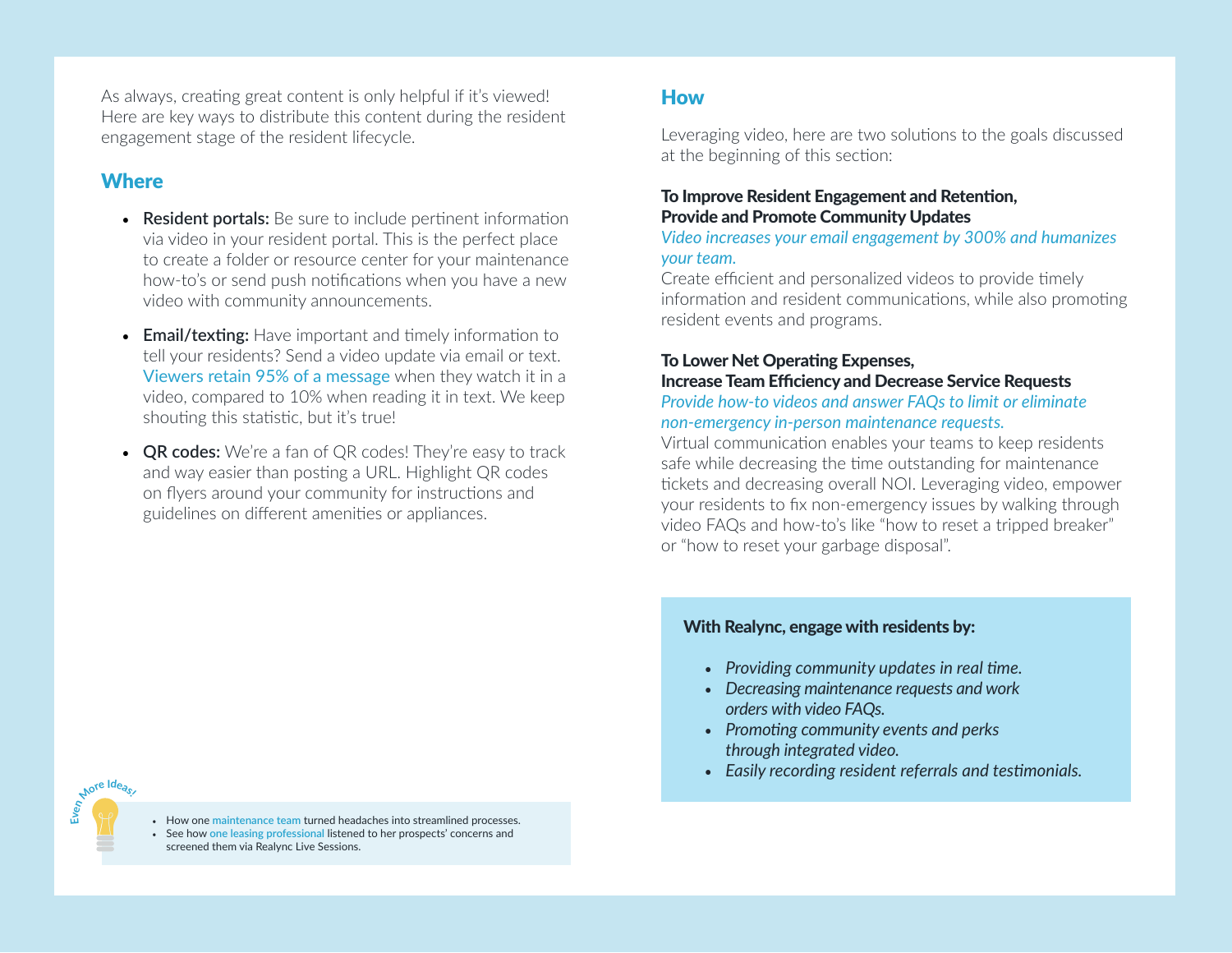As always, creating great content is only helpful if it's viewed! Here are key ways to distribute this content during the resident engagement stage of the resident lifecycle.

# **Where**

**E** 

- **Resident portals:** Be sure to include pertinent information via video in your resident portal. This is the perfect place to create a folder or resource center for your maintenance how-to's or send push notifications when you have a new video with community announcements.
- **Email/texting:** Have important and timely information to tell your residents? Send a video update via email or text. [Viewers retain 95% of a message](https://zmbmedia.com/2020/01/03/video-marketing-trends-for-2020/#:~:text=Viewers%20retain%2095%25%20of%20a,when%20reading%20it%20in%20text.) when they watch it in a video, compared to 10% when reading it in text. We keep shouting this statistic, but it's true!
- **QR codes:** We're a fan of QR codes! They're easy to track and way easier than posting a URL. Highlight QR codes on flyers around your community for instructions and guidelines on different amenities or appliances.

# How

Leveraging video, here are two solutions to the goals discussed at the beginning of this section:

#### To Improve Resident Engagement and Retention, Provide and Promote Community Updates

*Video increases your email engagement by 300% and humanizes your team.*

Create efficient and personalized videos to provide timely information and resident communications, while also promoting resident events and programs.

# To Lower Net Operating Expenses, Increase Team Efficiency and Decrease Service Requests

#### *Provide how-to videos and answer FAQs to limit or eliminate non-emergency in-person maintenance requests.*

Virtual communication enables your teams to keep residents safe while decreasing the time outstanding for maintenance tickets and decreasing overall NOI. Leveraging video, empower your residents to fix non-emergency issues by walking through video FAQs and how-to's like "how to reset a tripped breaker" or "how to reset your garbage disposal".

#### With Realync, engage with residents by:

- *Providing community updates in real time.*
- *Decreasing maintenance requests and work orders with video FAQs.*
- *Promoting community events and perks through integrated video.*
- *Easily recording resident referrals and testimonials.*

• How one **[maintenance team](https://www.realync.com/watermark-residential/)** turned headaches into streamlined processes.

• See how **[one leasing professional](https://www.realync.com/carla-young-aldon/)** listened to her prospects' concerns and screened them via Realync Live Sessions.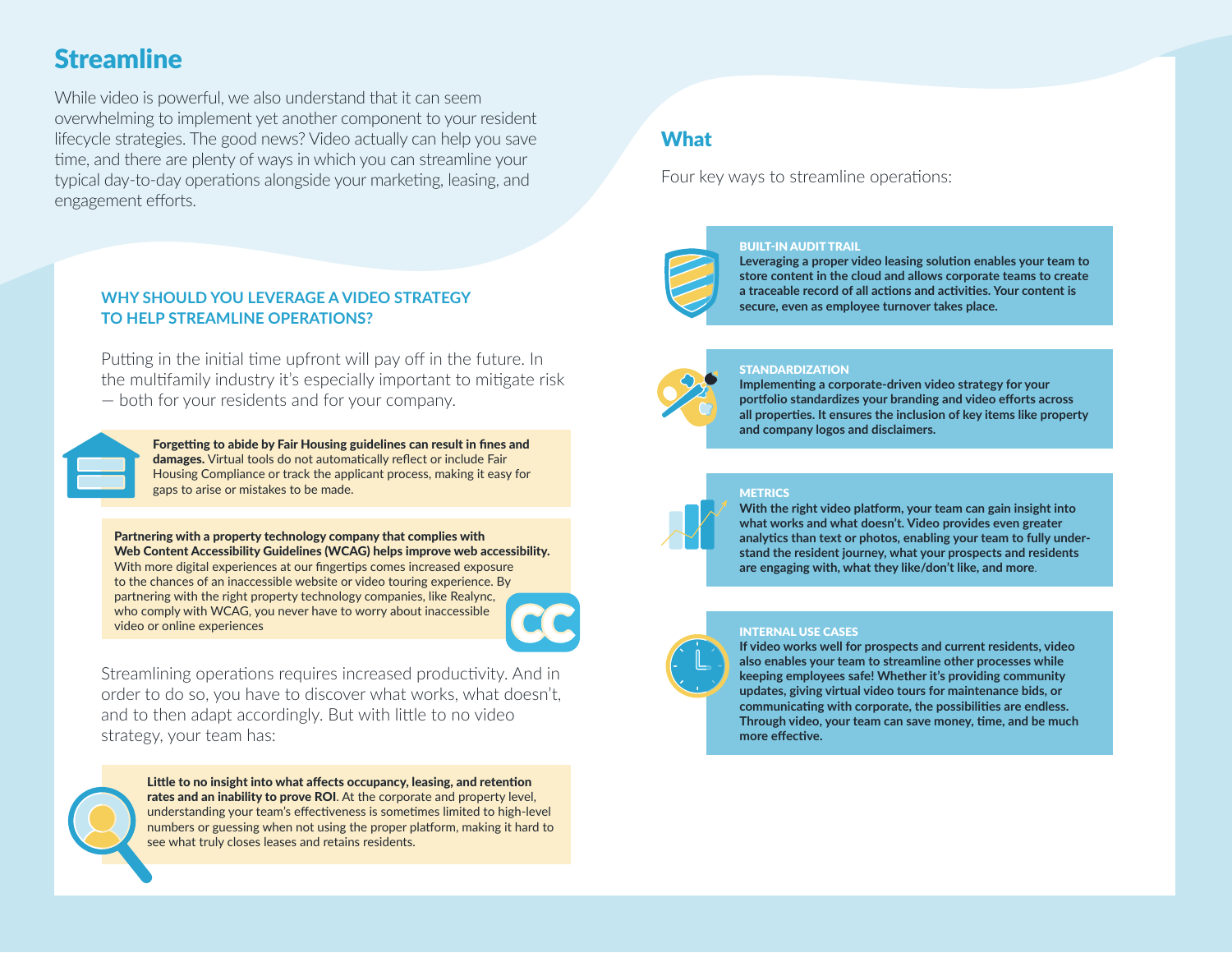# **Streamline**

While video is powerful, we also understand that it can seem overwhelming to implement yet another component to your resident lifecycle strategies. The good news? Video actually can help you save time, and there are plenty of ways in which you can streamline your typical day-to-day operations alongside your marketing, leasing, and engagement efforts.

#### **WHY SHOULD YOU LEVERAGE A VIDEO STRATEGY TO HELP STREAMLINE OPERATIONS?**

Putting in the initial time upfront will pay off in the future. In the multifamily industry it's especially important to mitigate risk — both for your residents and for your company.



Forgetting to abide by Fair Housing guidelines can result in fines and damages. Virtual tools do not automatically reflect or include Fair Housing Compliance or track the applicant process, making it easy for gaps to arise or mistakes to be made.

Partnering with a property technology company that complies with Web Content Accessibility Guidelines (WCAG) helps improve web accessibility. With more digital experiences at our fingertips comes increased exposure to the chances of an inaccessible website or video touring experience. By partnering with the right property technology companies, like Realync, who comply with WCAG, you never have to worry about inaccessible video or online experiences



Streamlining operations requires increased productivity. And in order to do so, you have to discover what works, what doesn't, and to then adapt accordingly. But with little to no video strategy, your team has:



Little to no insight into what affects occupancy, leasing, and retention rates and an inability to prove ROI. At the corporate and property level, understanding your team's effectiveness is sometimes limited to high-level numbers or guessing when not using the proper platform, making it hard to see what truly closes leases and retains residents.

# **What**

Four key ways to streamline operations:



BUILT-IN AUDIT TRAIL **Leveraging a proper video leasing solution enables your team to** 

**store content in the cloud and allows corporate teams to create a traceable record of all actions and activities. Your content is secure, even as employee turnover takes place.** 



#### **STANDARDIZATION**

**Implementing a corporate-driven video strategy for your portfolio standardizes your branding and video efforts across all properties. It ensures the inclusion of key items like property and company logos and disclaimers.**



#### **METRICS**

**With the right video platform, your team can gain insight into what works and what doesn't. Video provides even greater analytics than text or photos, enabling your team to fully understand the resident journey, what your prospects and residents are engaging with, what they like/don't like, and more**.

#### INTERNAL USE CASES

**If video works well for prospects and current residents, video also enables your team to streamline other processes while keeping employees safe! Whether it's providing community updates, giving virtual video tours for maintenance bids, or communicating with corporate, the possibilities are endless. Through video, your team can save money, time, and be much more effective.**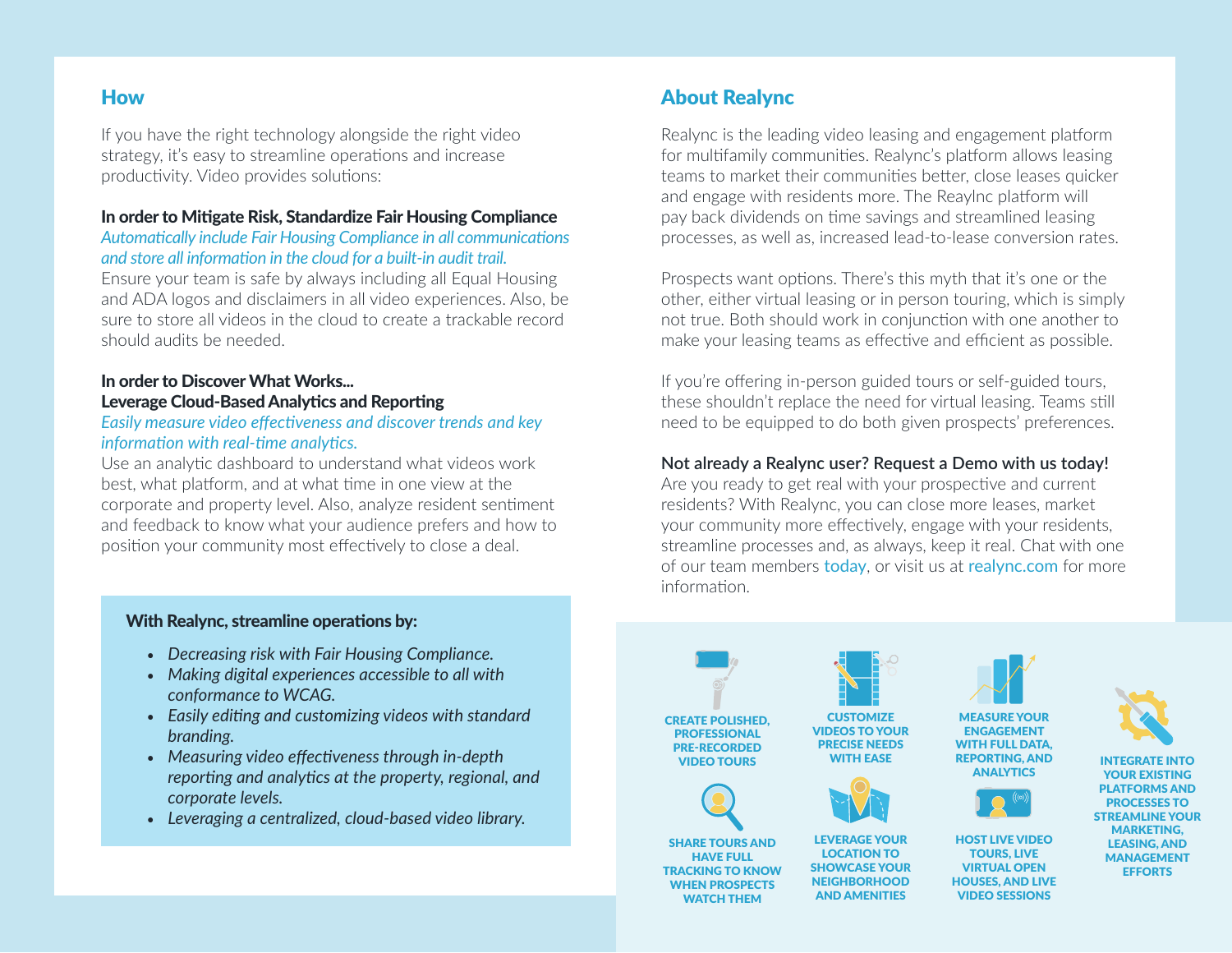# How

If you have the right technology alongside the right video strategy, it's easy to streamline operations and increase productivity. Video provides solutions:

#### In order to Mitigate Risk, Standardize Fair Housing Compliance

#### *Automatically include Fair Housing Compliance in all communications and store all information in the cloud for a built-in audit trail.*

Ensure your team is safe by always including all Equal Housing and ADA logos and disclaimers in all video experiences. Also, be sure to store all videos in the cloud to create a trackable record should audits be needed.

### In order to Discover What Works... Leverage Cloud-Based Analytics and Reporting

#### *Easily measure video effectiveness and discover trends and key information with real-time analytics.*

Use an analytic dashboard to understand what videos work best, what platform, and at what time in one view at the corporate and property level. Also, analyze resident sentiment and feedback to know what your audience prefers and how to position your community most effectively to close a deal.

#### With Realync, streamline operations by:

- *Decreasing risk with Fair Housing Compliance.*
- *Making digital experiences accessible to all with conformance to WCAG.*
- *Easily editing and customizing videos with standard branding.*
- *Measuring video effectiveness through in-depth reporting and analytics at the property, regional, and corporate levels.*
- *Leveraging a centralized, cloud-based video library.*

## About Realync

Realync is the leading video leasing and engagement platform for multifamily communities. Realync's platform allows leasing teams to market their communities better, close leases quicker and engage with residents more. The Reaylnc platform will pay back dividends on time savings and streamlined leasing processes, as well as, increased lead-to-lease conversion rates.

Prospects want options. There's this myth that it's one or the other, either virtual leasing or in person touring, which is simply not true. Both should work in conjunction with one another to make your leasing teams as effective and efficient as possible.

If you're offering in-person guided tours or self-guided tours, these shouldn't replace the need for virtual leasing. Teams still need to be equipped to do both given prospects' preferences.

#### **Not already a Realync user? Request a Demo with us today!**

Are you ready to get real with your prospective and current residents? With Realync, you can close more leases, market your community more effectively, engage with your residents, streamline processes and, as always, keep it real. Chat with one of our team members [today](https://www.realync.com/request-a-demo/), or visit us at [realync.com](http://www.realync.com) for more information.